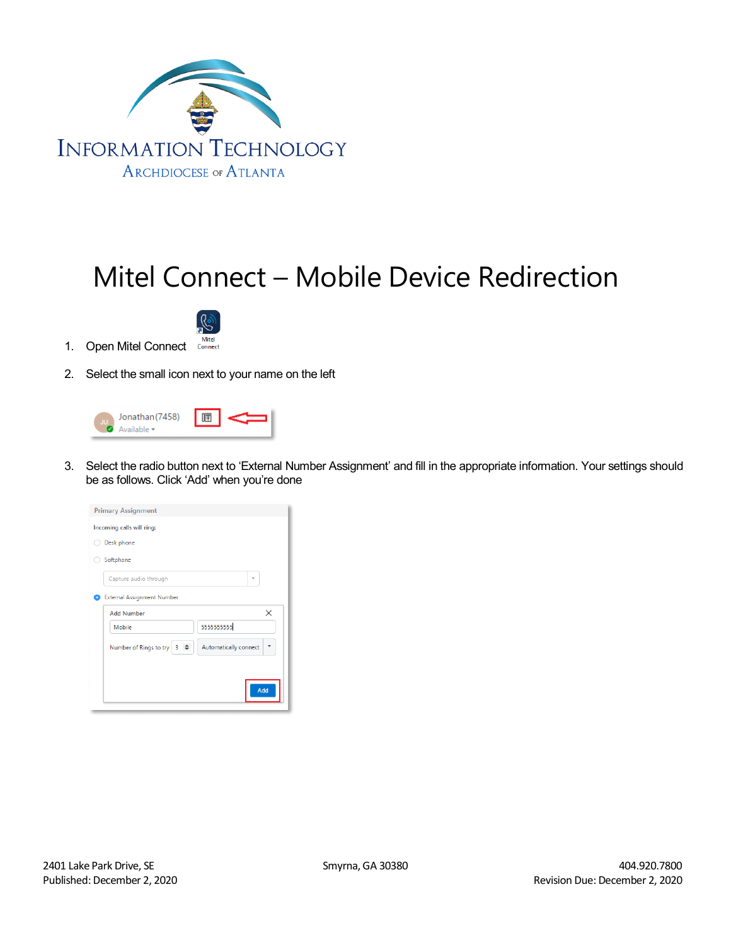

## Mitel Connect – Mobile Device Redirection



- 1. Open Mitel Connect Connect
- 2. Select the small icon next to your name on the left

| Jonathan (7458) |  |  |
|-----------------|--|--|
|-----------------|--|--|

3. Select the radio button next to 'External Number Assignment' and fill in the appropriate information. Your settings should be as follows. Click 'Add' when you're done

| <b>Primary Assignment</b>                            |
|------------------------------------------------------|
| Incoming calls will ring:                            |
| Desk phone                                           |
| Softphone                                            |
| Capture audio through                                |
| <b>External Assignment Number</b>                    |
| $\times$<br><b>Add Number</b>                        |
| 5555555555<br>Mobile                                 |
| Automatically connect<br>Number of Rings to try<br>3 |
|                                                      |
| Add                                                  |